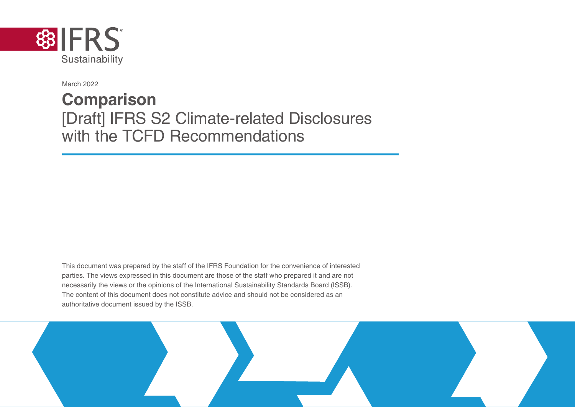

March 2022

## **Comparison** [Draft] IFRS S2 Climate-related Disclosures with the TCFD Recommendations

This document was prepared by the staff of the IFRS Foundation for the convenience of interested parties. The views expressed in this document are those of the staff who prepared it and are not necessarily the views or the opinions of the International Sustainability Standards Board (ISSB). The content of this document does not constitute advice and should not be considered as an authoritative document issued by the ISSB.

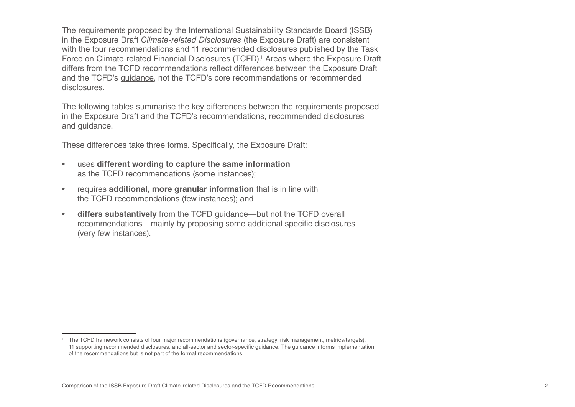The requirements proposed by the International Sustainability Standards Board (ISSB) in the Exposure Draft *Climate-related Disclosures* (the Exposure Draft) are consistent with the four recommendations and 11 recommended disclosures published by the Task Force on Climate-related Financial Disclosures (TCFD).<sup>1</sup> Areas where the Exposure Draft differs from the TCFD recommendations reflect differences between the Exposure Draft and the TCFD's guidance, not the TCFD's core recommendations or recommended disclosures.

The following tables summarise the key differences between the requirements proposed in the Exposure Draft and the TCFD's recommendations, recommended disclosures and guidance.

These differences take three forms. Specifically, the Exposure Draft:

- uses **different wording to capture the same information** as the TCFD recommendations (some instances);
- requires **additional, more granular information** that is in line with the TCFD recommendations (few instances); and
- **differs substantively** from the TCFD guidance—but not the TCFD overall recommendations—mainly by proposing some additional specific disclosures (very few instances).

<sup>1</sup> The TCFD framework consists of four major recommendations (governance, strategy, risk management, metrics/targets), 11 supporting recommended disclosures, and all-sector and sector-specific guidance. The guidance informs implementation of the recommendations but is not part of the formal recommendations.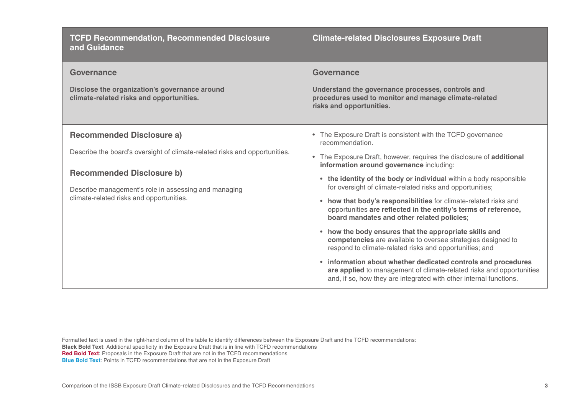| <b>TCFD Recommendation, Recommended Disclosure</b><br>and Guidance                                                                                                                                                                                     | <b>Climate-related Disclosures Exposure Draft</b>                                                                                                                                                                                                                                                                                                                                                                                                                                                                                                                                                                                                                                                                                                                                                                                                                                                                                         |
|--------------------------------------------------------------------------------------------------------------------------------------------------------------------------------------------------------------------------------------------------------|-------------------------------------------------------------------------------------------------------------------------------------------------------------------------------------------------------------------------------------------------------------------------------------------------------------------------------------------------------------------------------------------------------------------------------------------------------------------------------------------------------------------------------------------------------------------------------------------------------------------------------------------------------------------------------------------------------------------------------------------------------------------------------------------------------------------------------------------------------------------------------------------------------------------------------------------|
| Governance<br>Disclose the organization's governance around<br>climate-related risks and opportunities.                                                                                                                                                | Governance<br>Understand the governance processes, controls and<br>procedures used to monitor and manage climate-related<br>risks and opportunities.                                                                                                                                                                                                                                                                                                                                                                                                                                                                                                                                                                                                                                                                                                                                                                                      |
| <b>Recommended Disclosure a)</b><br>Describe the board's oversight of climate-related risks and opportunities.<br><b>Recommended Disclosure b)</b><br>Describe management's role in assessing and managing<br>climate-related risks and opportunities. | The Exposure Draft is consistent with the TCFD governance<br>$\bullet$<br>recommendation.<br>• The Exposure Draft, however, requires the disclosure of additional<br>information around governance including:<br>• the identity of the body or individual within a body responsible<br>for oversight of climate-related risks and opportunities;<br>• how that body's responsibilities for climate-related risks and<br>opportunities are reflected in the entity's terms of reference,<br>board mandates and other related policies;<br>• how the body ensures that the appropriate skills and<br>competencies are available to oversee strategies designed to<br>respond to climate-related risks and opportunities; and<br>• information about whether dedicated controls and procedures<br>are applied to management of climate-related risks and opportunities<br>and, if so, how they are integrated with other internal functions. |

Formatted text is used in the right-hand column of the table to identify differences between the Exposure Draft and the TCFD recommendations:

**Black Bold Text**: Additional specificity in the Exposure Draft that is in line with TCFD recommendations

**Red Bold Text**: Proposals in the Exposure Draft that are not in the TCFD recommendations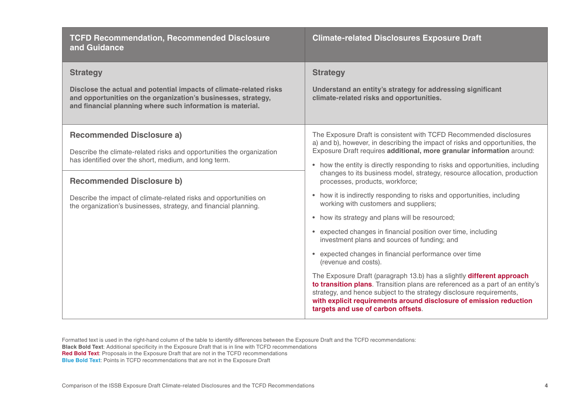| <b>TCFD Recommendation, Recommended Disclosure</b><br>and Guidance                                                                                                                                                                                                                                                                              | <b>Climate-related Disclosures Exposure Draft</b>                                                                                                                                                                                                                                                                                                                                                                                                                                                                                                                                                                                                                                                                                                                                                                                                                                                                                                                                                                                                                                                                                                  |
|-------------------------------------------------------------------------------------------------------------------------------------------------------------------------------------------------------------------------------------------------------------------------------------------------------------------------------------------------|----------------------------------------------------------------------------------------------------------------------------------------------------------------------------------------------------------------------------------------------------------------------------------------------------------------------------------------------------------------------------------------------------------------------------------------------------------------------------------------------------------------------------------------------------------------------------------------------------------------------------------------------------------------------------------------------------------------------------------------------------------------------------------------------------------------------------------------------------------------------------------------------------------------------------------------------------------------------------------------------------------------------------------------------------------------------------------------------------------------------------------------------------|
| <b>Strategy</b><br>Disclose the actual and potential impacts of climate-related risks<br>and opportunities on the organization's businesses, strategy,<br>and financial planning where such information is material.                                                                                                                            | <b>Strategy</b><br>Understand an entity's strategy for addressing significant<br>climate-related risks and opportunities.                                                                                                                                                                                                                                                                                                                                                                                                                                                                                                                                                                                                                                                                                                                                                                                                                                                                                                                                                                                                                          |
| <b>Recommended Disclosure a)</b><br>Describe the climate-related risks and opportunities the organization<br>has identified over the short, medium, and long term.<br><b>Recommended Disclosure b)</b><br>Describe the impact of climate-related risks and opportunities on<br>the organization's businesses, strategy, and financial planning. | The Exposure Draft is consistent with TCFD Recommended disclosures<br>a) and b), however, in describing the impact of risks and opportunities, the<br>Exposure Draft requires additional, more granular information around:<br>• how the entity is directly responding to risks and opportunities, including<br>changes to its business model, strategy, resource allocation, production<br>processes, products, workforce;<br>• how it is indirectly responding to risks and opportunities, including<br>working with customers and suppliers;<br>• how its strategy and plans will be resourced;<br>• expected changes in financial position over time, including<br>investment plans and sources of funding; and<br>• expected changes in financial performance over time<br>(revenue and costs).<br>The Exposure Draft (paragraph 13.b) has a slightly different approach<br>to transition plans. Transition plans are referenced as a part of an entity's<br>strategy, and hence subject to the strategy disclosure requirements,<br>with explicit requirements around disclosure of emission reduction<br>targets and use of carbon offsets. |

Formatted text is used in the right-hand column of the table to identify differences between the Exposure Draft and the TCFD recommendations:

- **Black Bold Text**: Additional specificity in the Exposure Draft that is in line with TCFD recommendations
- **Red Bold Text**: Proposals in the Exposure Draft that are not in the TCFD recommendations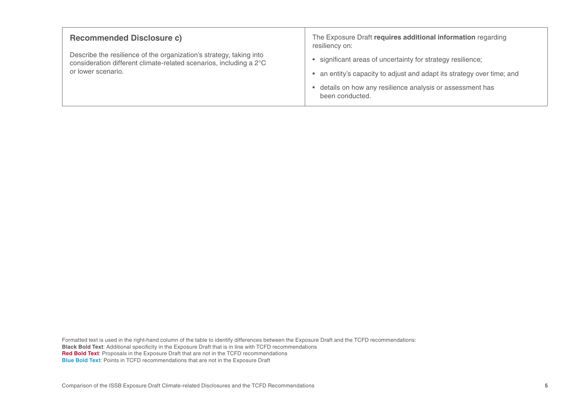| <b>Recommended Disclosure c)</b>                                                                                                                                | The Exposure Draft requires additional information regarding<br>resiliency on:                                                                                                                                         |
|-----------------------------------------------------------------------------------------------------------------------------------------------------------------|------------------------------------------------------------------------------------------------------------------------------------------------------------------------------------------------------------------------|
| Describe the resilience of the organization's strategy, taking into<br>consideration different climate-related scenarios, including a 2°C<br>or lower scenario. | • significant areas of uncertainty for strategy resilience;<br>• an entity's capacity to adjust and adapt its strategy over time; and<br>• details on how any resilience analysis or assessment has<br>been conducted. |

Formatted text is used in the right-hand column of the table to identify differences between the Exposure Draft and the TCFD recommendations: **Black Bold Text**: Additional specificity in the Exposure Draft that is in line with TCFD recommendations **Red Bold Text**: Proposals in the Exposure Draft that are not in the TCFD recommendations **Blue Bold Text:** Points in TCFD recommendations that are not in the Exposure Draft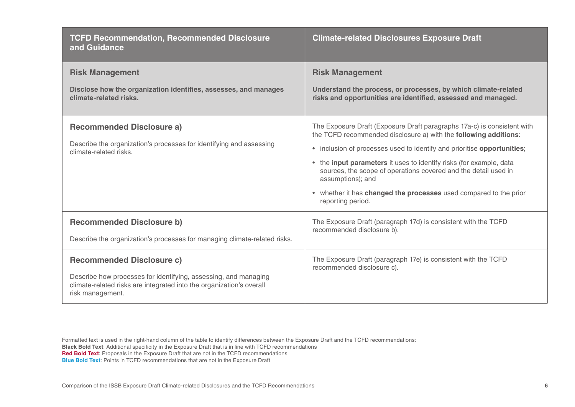| <b>TCFD Recommendation, Recommended Disclosure</b><br>and Guidance                                                                                                                              | <b>Climate-related Disclosures Exposure Draft</b>                                                                                                                                                                                                                                                                                                                                                                                                                               |
|-------------------------------------------------------------------------------------------------------------------------------------------------------------------------------------------------|---------------------------------------------------------------------------------------------------------------------------------------------------------------------------------------------------------------------------------------------------------------------------------------------------------------------------------------------------------------------------------------------------------------------------------------------------------------------------------|
| <b>Risk Management</b><br>Disclose how the organization identifies, assesses, and manages<br>climate-related risks.                                                                             | <b>Risk Management</b><br>Understand the process, or processes, by which climate-related<br>risks and opportunities are identified, assessed and managed.                                                                                                                                                                                                                                                                                                                       |
| <b>Recommended Disclosure a)</b><br>Describe the organization's processes for identifying and assessing<br>climate-related risks.                                                               | The Exposure Draft (Exposure Draft paragraphs 17a-c) is consistent with<br>the TCFD recommended disclosure a) with the following additions:<br>• inclusion of processes used to identify and prioritise opportunities;<br>• the input parameters it uses to identify risks (for example, data<br>sources, the scope of operations covered and the detail used in<br>assumptions); and<br>• whether it has changed the processes used compared to the prior<br>reporting period. |
| <b>Recommended Disclosure b)</b><br>Describe the organization's processes for managing climate-related risks.                                                                                   | The Exposure Draft (paragraph 17d) is consistent with the TCFD<br>recommended disclosure b).                                                                                                                                                                                                                                                                                                                                                                                    |
| <b>Recommended Disclosure c)</b><br>Describe how processes for identifying, assessing, and managing<br>climate-related risks are integrated into the organization's overall<br>risk management. | The Exposure Draft (paragraph 17e) is consistent with the TCFD<br>recommended disclosure c).                                                                                                                                                                                                                                                                                                                                                                                    |

Formatted text is used in the right-hand column of the table to identify differences between the Exposure Draft and the TCFD recommendations: **Black Bold Text**: Additional specificity in the Exposure Draft that is in line with TCFD recommendations **Red Bold Text**: Proposals in the Exposure Draft that are not in the TCFD recommendations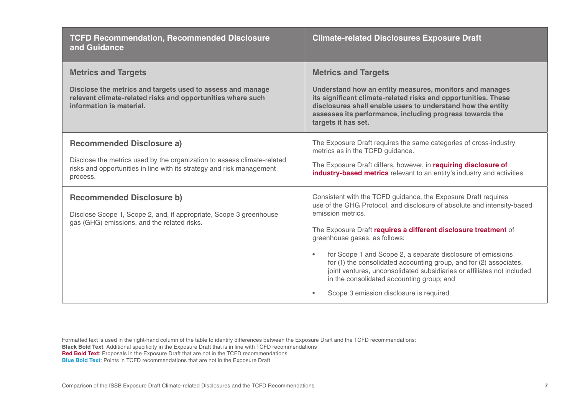| <b>TCFD Recommendation, Recommended Disclosure</b><br>and Guidance                                                                                                                               | <b>Climate-related Disclosures Exposure Draft</b>                                                                                                                                                                                                                                                                                                                                                                                                                                                                                                                                                    |
|--------------------------------------------------------------------------------------------------------------------------------------------------------------------------------------------------|------------------------------------------------------------------------------------------------------------------------------------------------------------------------------------------------------------------------------------------------------------------------------------------------------------------------------------------------------------------------------------------------------------------------------------------------------------------------------------------------------------------------------------------------------------------------------------------------------|
| <b>Metrics and Targets</b><br>Disclose the metrics and targets used to assess and manage<br>relevant climate-related risks and opportunities where such<br>information is material.              | <b>Metrics and Targets</b><br>Understand how an entity measures, monitors and manages<br>its significant climate-related risks and opportunities. These<br>disclosures shall enable users to understand how the entity<br>assesses its performance, including progress towards the<br>targets it has set.                                                                                                                                                                                                                                                                                            |
| <b>Recommended Disclosure a)</b><br>Disclose the metrics used by the organization to assess climate-related<br>risks and opportunities in line with its strategy and risk management<br>process. | The Exposure Draft requires the same categories of cross-industry<br>metrics as in the TCFD guidance.<br>The Exposure Draft differs, however, in requiring disclosure of<br>industry-based metrics relevant to an entity's industry and activities.                                                                                                                                                                                                                                                                                                                                                  |
| <b>Recommended Disclosure b)</b><br>Disclose Scope 1, Scope 2, and, if appropriate, Scope 3 greenhouse<br>gas (GHG) emissions, and the related risks.                                            | Consistent with the TCFD guidance, the Exposure Draft requires<br>use of the GHG Protocol, and disclosure of absolute and intensity-based<br>emission metrics.<br>The Exposure Draft requires a different disclosure treatment of<br>greenhouse gases, as follows:<br>for Scope 1 and Scope 2, a separate disclosure of emissions<br>$\bullet$<br>for (1) the consolidated accounting group, and for (2) associates,<br>joint ventures, unconsolidated subsidiaries or affiliates not included<br>in the consolidated accounting group; and<br>Scope 3 emission disclosure is required.<br>$\bullet$ |

Formatted text is used in the right-hand column of the table to identify differences between the Exposure Draft and the TCFD recommendations:

**Black Bold Text**: Additional specificity in the Exposure Draft that is in line with TCFD recommendations

**Red Bold Text**: Proposals in the Exposure Draft that are not in the TCFD recommendations